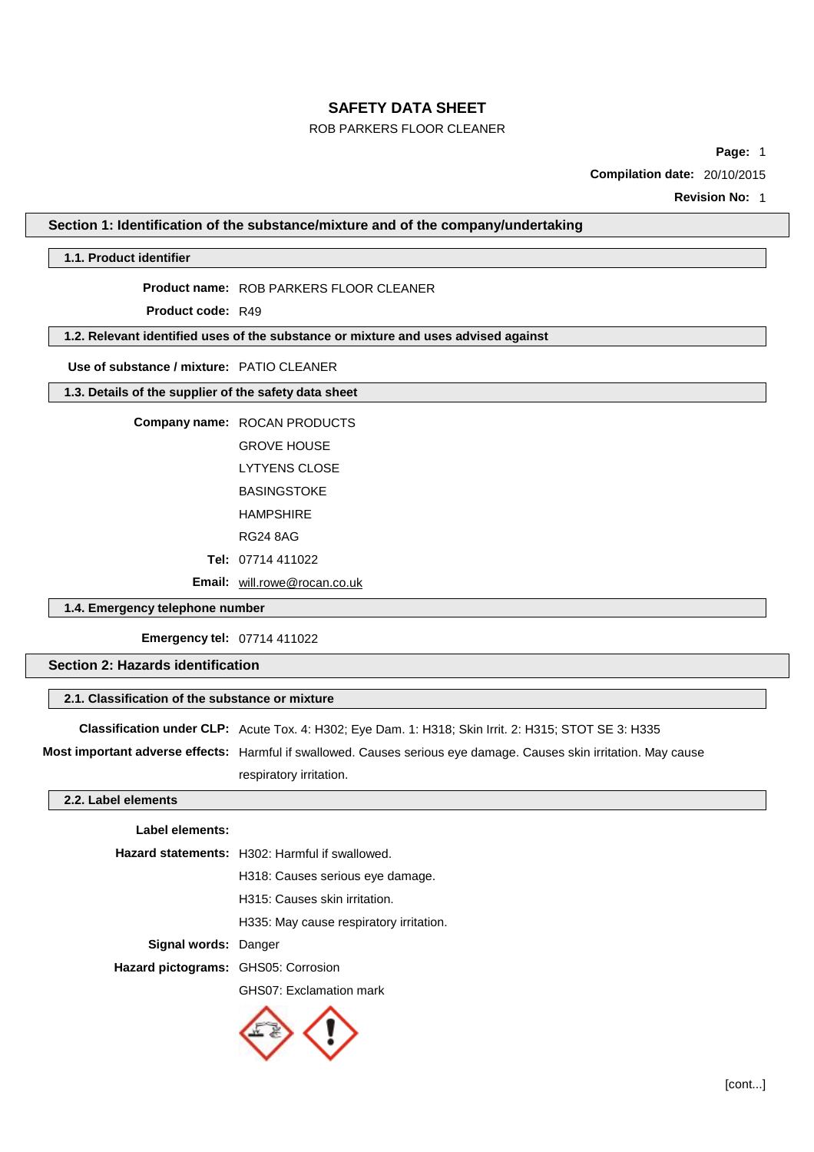## ROB PARKERS FLOOR CLEANER

**Page:** 1

**Compilation date:** 20/10/2015

**Revision No:** 1

### **Section 1: Identification of the substance/mixture and of the company/undertaking**

#### **1.1. Product identifier**

**Product name:** ROB PARKERS FLOOR CLEANER

**Product code:** R49

## **1.2. Relevant identified uses of the substance or mixture and uses advised against**

## **Use of substance / mixture:** PATIO CLEANER

## **1.3. Details of the supplier of the safety data sheet**

### **Company name:** ROCAN PRODUCTS

GROVE HOUSE

LYTYENS CLOSE

BASINGSTOKE

HAMPSHIRE

RG24 8AG

**Tel:** 07714 411022

**Email:** [will.rowe@rocan.co.uk](mailto:will.rowe@rocan.co.uk)

## **1.4. Emergency telephone number**

**Emergency tel:** 07714 411022

## **Section 2: Hazards identification**

## **2.1. Classification of the substance or mixture**

**Classification under CLP:** Acute Tox. 4: H302; Eye Dam. 1: H318; Skin Irrit. 2: H315; STOT SE 3: H335

**Most important adverse effects:** Harmful if swallowed. Causes serious eye damage. Causes skin irritation. May cause

respiratory irritation.

## **2.2. Label elements**

### **Label elements:**

|                                            | <b>Hazard statements:</b> H302: Harmful if swallowed. |
|--------------------------------------------|-------------------------------------------------------|
|                                            | H318: Causes serious eye damage.                      |
|                                            | H315: Causes skin irritation.                         |
|                                            | H335: May cause respiratory irritation.               |
| <b>Signal words: Danger</b>                |                                                       |
| <b>Hazard pictograms: GHS05: Corrosion</b> |                                                       |
|                                            | GHS07: Exclamation mark                               |

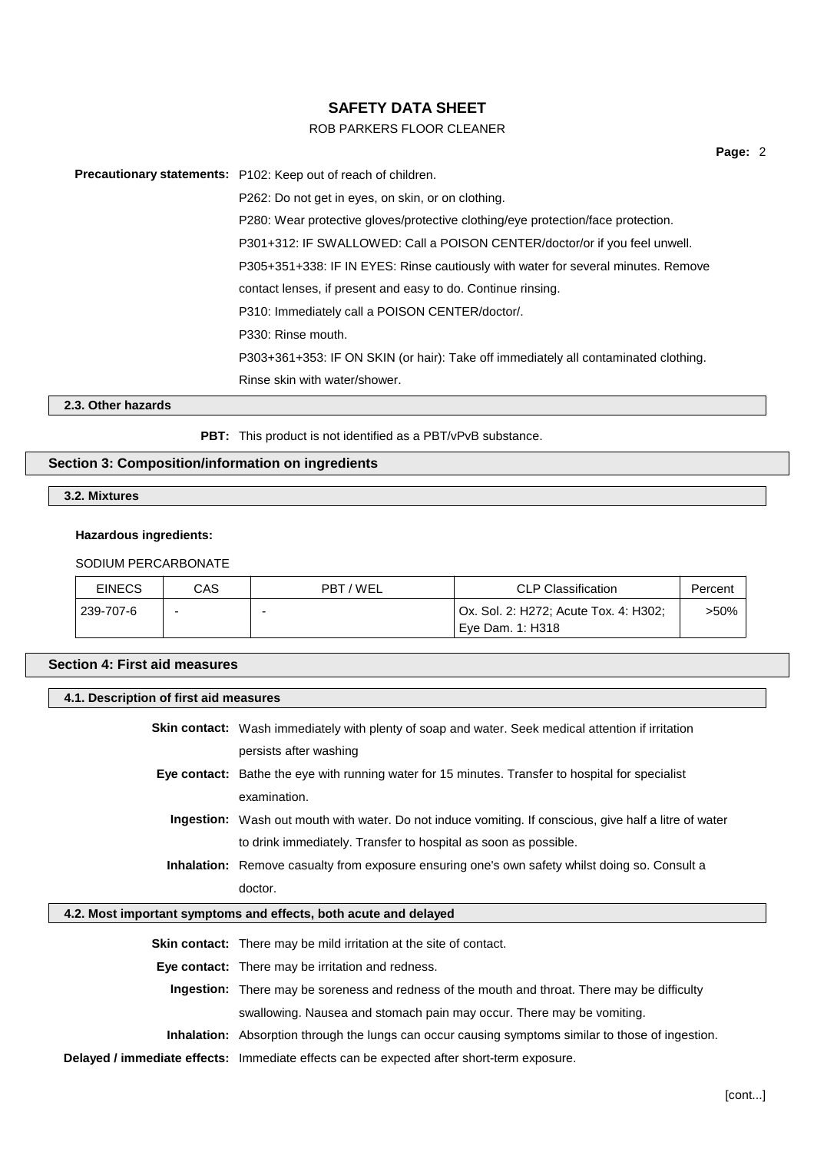## ROB PARKERS FLOOR CLEANER

**Precautionary statements:** P102: Keep out of reach of children. P262: Do not get in eyes, on skin, or on clothing. P280: Wear protective gloves/protective clothing/eye protection/face protection. P301+312: IF SWALLOWED: Call a POISON CENTER/doctor/or if you feel unwell. P305+351+338: IF IN EYES: Rinse cautiously with water for several minutes. Remove contact lenses, if present and easy to do. Continue rinsing. P310: Immediately call a POISON CENTER/doctor/. P330: Rinse mouth. P303+361+353: IF ON SKIN (or hair): Take off immediately all contaminated clothing. Rinse skin with water/shower.

**2.3. Other hazards**

**PBT:** This product is not identified as a PBT/vPvB substance.

## **Section 3: Composition/information on ingredients**

**3.2. Mixtures**

### **Hazardous ingredients:**

#### SODIUM PERCARBONATE

| <b>EINECS</b> | CAS | PBT/WEL | <b>CLP Classification</b>             | Percent |
|---------------|-----|---------|---------------------------------------|---------|
| 239-707-6     |     |         | Ox. Sol. 2: H272; Acute Tox. 4: H302; | >50%    |
|               |     |         | l Eve Dam. 1: H318                    |         |

## **Section 4: First aid measures**

| 4.1. Description of first aid measures |                                                                                                               |
|----------------------------------------|---------------------------------------------------------------------------------------------------------------|
|                                        |                                                                                                               |
|                                        | <b>Skin contact:</b> Wash immediately with plenty of soap and water. Seek medical attention if irritation     |
|                                        | persists after washing                                                                                        |
|                                        | Eye contact: Bathe the eye with running water for 15 minutes. Transfer to hospital for specialist             |
|                                        | examination.                                                                                                  |
|                                        | <b>Ingestion:</b> Wash out mouth with water. Do not induce vomiting. If conscious, give half a litre of water |
|                                        | to drink immediately. Transfer to hospital as soon as possible.                                               |
|                                        | <b>Inhalation:</b> Remove casualty from exposure ensuring one's own safety whilst doing so. Consult a         |
|                                        | doctor.                                                                                                       |
|                                        |                                                                                                               |
|                                        | 4.2. Most important symptoms and effects, both acute and delayed                                              |
|                                        |                                                                                                               |
|                                        | <b>Skin contact:</b> There may be mild irritation at the site of contact.                                     |
|                                        | Eye contact: There may be irritation and redness.                                                             |
|                                        | Ingestion: There may be soreness and redness of the mouth and throat. There may be difficulty                 |
|                                        | swallowing. Nausea and stomach pain may occur. There may be vomiting.                                         |
|                                        | <b>Inhalation:</b> Absorption through the lungs can occur causing symptoms similar to those of ingestion.     |

**Page:** 2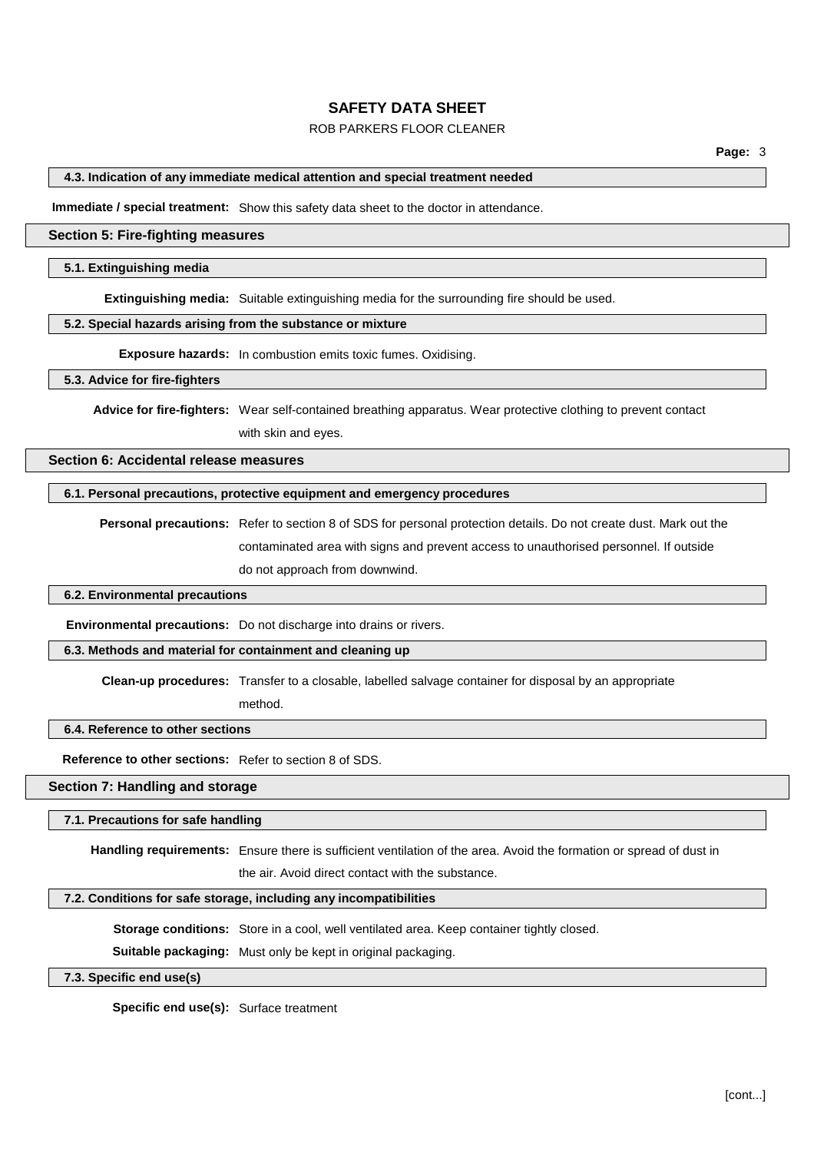## ROB PARKERS FLOOR CLEANER

#### **4.3. Indication of any immediate medical attention and special treatment needed**

**Immediate / special treatment:** Show this safety data sheet to the doctor in attendance.

#### **Section 5: Fire-fighting measures**

#### **5.1. Extinguishing media**

**Extinguishing media:** Suitable extinguishing media for the surrounding fire should be used.

#### **5.2. Special hazards arising from the substance or mixture**

**Exposure hazards:** In combustion emits toxic fumes. Oxidising.

#### **5.3. Advice for fire-fighters**

**Advice for fire-fighters:** Wear self-contained breathing apparatus. Wear protective clothing to prevent contact with skin and eyes.

### **Section 6: Accidental release measures**

#### **6.1. Personal precautions, protective equipment and emergency procedures**

**Personal precautions:** Refer to section 8 of SDS for personal protection details. Do not create dust. Mark out the contaminated area with signs and prevent access to unauthorised personnel. If outside do not approach from downwind.

#### **6.2. Environmental precautions**

**Environmental precautions:** Do not discharge into drains or rivers.

### **6.3. Methods and material for containment and cleaning up**

**Clean-up procedures:** Transfer to a closable, labelled salvage container for disposal by an appropriate

method.

#### **6.4. Reference to other sections**

**Reference to other sections:** Refer to section 8 of SDS.

### **Section 7: Handling and storage**

#### **7.1. Precautions for safe handling**

**Handling requirements:** Ensure there is sufficient ventilation of the area. Avoid the formation or spread of dust in

the air. Avoid direct contact with the substance.

#### **7.2. Conditions for safe storage, including any incompatibilities**

**Storage conditions:** Store in a cool, well ventilated area. Keep container tightly closed.

**Suitable packaging:** Must only be kept in original packaging.

#### **7.3. Specific end use(s)**

**Specific end use(s):** Surface treatment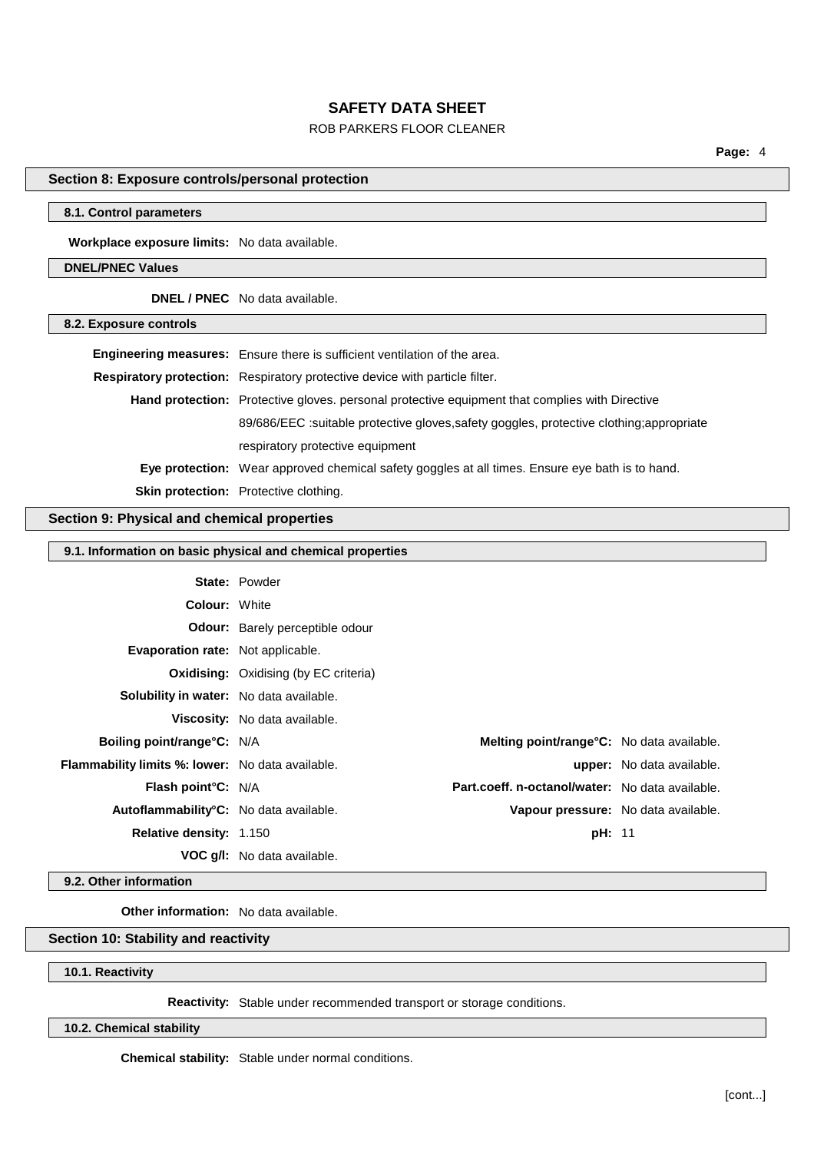## ROB PARKERS FLOOR CLEANER

**Page:** 4

## **Section 8: Exposure controls/personal protection**

### **8.1. Control parameters**

**Workplace exposure limits:** No data available.

## **DNEL/PNEC Values**

**DNEL / PNEC** No data available.

### **8.2. Exposure controls**

| Engineering measures: Ensure there is sufficient ventilation of the area.                       |
|-------------------------------------------------------------------------------------------------|
| Respiratory protection: Respiratory protective device with particle filter.                     |
| Hand protection: Protective gloves. personal protective equipment that complies with Directive  |
| 89/686/EEC :suitable protective gloves, safety goggles, protective clothing; appropriate        |
| respiratory protective equipment                                                                |
| Eye protection: Wear approved chemical safety goggles at all times. Ensure eye bath is to hand. |
| Skin protection: Protective clothing.                                                           |

### **Section 9: Physical and chemical properties**

#### **9.1. Information on basic physical and chemical properties**

|                                                         | <b>State: Powder</b>                         |               |                                                   |
|---------------------------------------------------------|----------------------------------------------|---------------|---------------------------------------------------|
| <b>Colour: White</b>                                    |                                              |               |                                                   |
|                                                         | <b>Odour:</b> Barely perceptible odour       |               |                                                   |
| Evaporation rate: Not applicable.                       |                                              |               |                                                   |
|                                                         | <b>Oxidising:</b> Oxidising (by EC criteria) |               |                                                   |
| Solubility in water: No data available.                 |                                              |               |                                                   |
|                                                         | Viscosity: No data available.                |               |                                                   |
| Boiling point/range°C: N/A                              |                                              |               | <b>Melting point/range °C:</b> No data available. |
| <b>Flammability limits %: lower:</b> No data available. |                                              |               | <b>upper:</b> No data available.                  |
| <b>Flash point C:</b> N/A                               |                                              |               | Part.coeff. n-octanol/water: No data available.   |
| Autoflammability°C: No data available.                  |                                              |               | Vapour pressure: No data available.               |
| <b>Relative density: 1.150</b>                          |                                              | <b>pH: 11</b> |                                                   |
|                                                         | <b>VOC g/l:</b> No data available.           |               |                                                   |

**9.2. Other information**

**Other information:** No data available.

## **Section 10: Stability and reactivity**

### **10.1. Reactivity**

**Reactivity:** Stable under recommended transport or storage conditions.

**10.2. Chemical stability**

**Chemical stability:** Stable under normal conditions.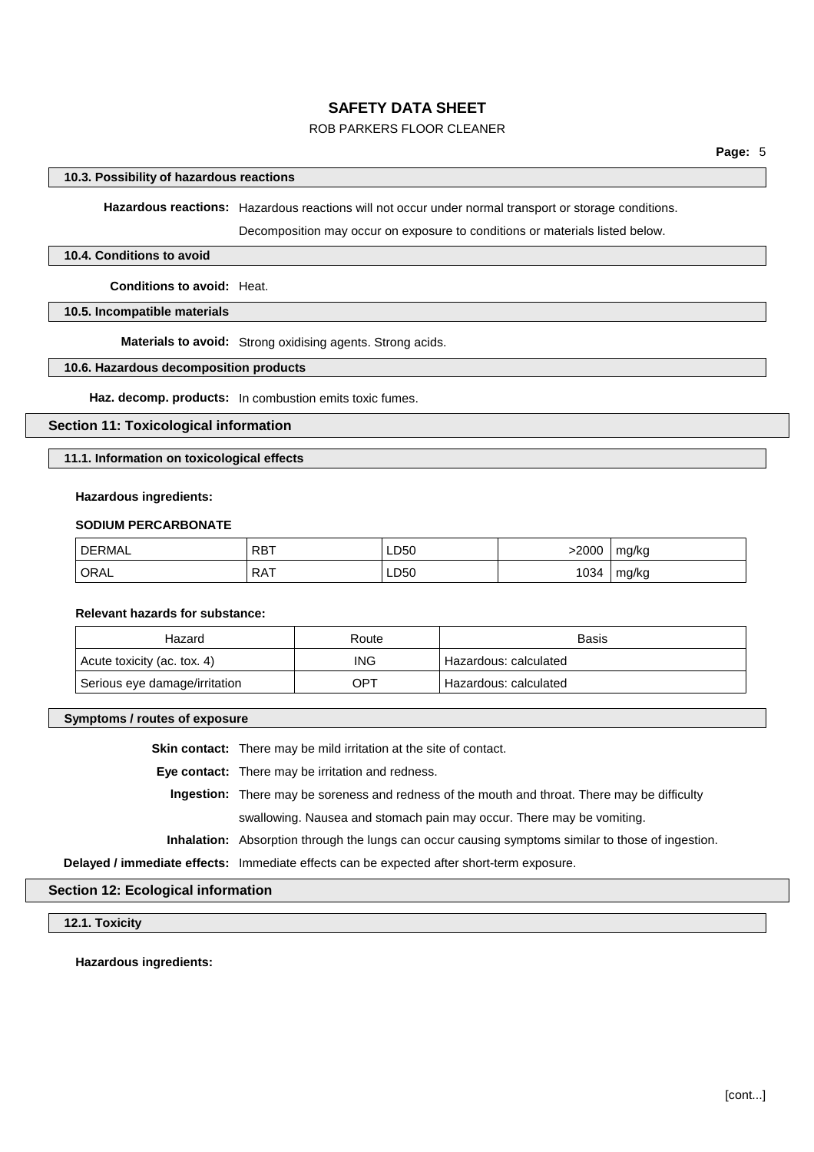## ROB PARKERS FLOOR CLEANER

#### **10.3. Possibility of hazardous reactions**

**Hazardous reactions:** Hazardous reactions will not occur under normal transport or storage conditions.

Decomposition may occur on exposure to conditions or materials listed below.

#### **10.4. Conditions to avoid**

**Conditions to avoid:** Heat.

#### **10.5. Incompatible materials**

**Materials to avoid:** Strong oxidising agents. Strong acids.

## **10.6. Hazardous decomposition products**

**Haz. decomp. products:** In combustion emits toxic fumes.

### **Section 11: Toxicological information**

#### **11.1. Information on toxicological effects**

#### **Hazardous ingredients:**

#### **SODIUM PERCARBONATE**

| <b>DERMAL</b> | <b>RBT</b> | LD50 | 2000 | mg/kg |
|---------------|------------|------|------|-------|
| ORAL          | RAT        | ∟D50 | 1034 | mg/kg |

#### **Relevant hazards for substance:**

| Hazard                        | Route      | <b>Basis</b>            |
|-------------------------------|------------|-------------------------|
| Acute toxicity (ac. tox. 4)   | <b>ING</b> | ' Hazardous: calculated |
| Serious eye damage/irritation | OPT        | Hazardous: calculated   |

**Symptoms / routes of exposure**

**Skin contact:** There may be mild irritation at the site of contact.

**Eye contact:** There may be irritation and redness.

**Ingestion:** There may be soreness and redness of the mouth and throat. There may be difficulty swallowing. Nausea and stomach pain may occur. There may be vomiting.

**Inhalation:** Absorption through the lungs can occur causing symptoms similar to those of ingestion.

**Delayed / immediate effects:** Immediate effects can be expected after short-term exposure.

#### **Section 12: Ecological information**

### **12.1. Toxicity**

**Hazardous ingredients:**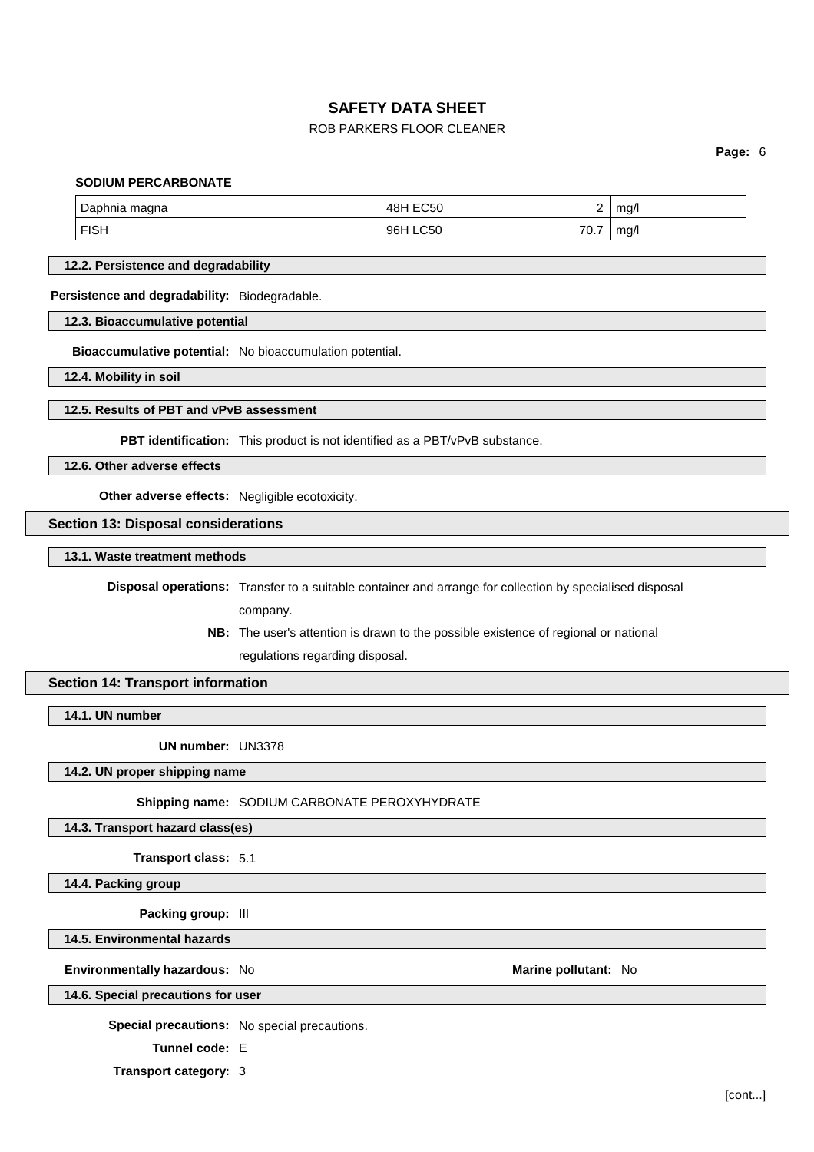## ROB PARKERS FLOOR CLEANER

**Page:** 6

#### **SODIUM PERCARBONATE**

| Daphnia r   | <b>EC50</b>        |     | ma/l |
|-------------|--------------------|-----|------|
| magna       | 48 <sub>h</sub>    |     |      |
| <b>FISH</b> | C50<br>96 <b>F</b> | 70. | mq/  |

#### **12.2. Persistence and degradability**

**Persistence and degradability:** Biodegradable.

**12.3. Bioaccumulative potential**

**Bioaccumulative potential:** No bioaccumulation potential.

**12.4. Mobility in soil**

#### **12.5. Results of PBT and vPvB assessment**

**PBT identification:** This product is not identified as a PBT/vPvB substance.

**12.6. Other adverse effects**

**Other adverse effects:** Negligible ecotoxicity.

### **Section 13: Disposal considerations**

#### **13.1. Waste treatment methods**

**Disposal operations:** Transfer to a suitable container and arrange for collection by specialised disposal

company.

**NB:** The user's attention is drawn to the possible existence of regional or national regulations regarding disposal.

### **Section 14: Transport information**

**14.1. UN number**

**UN number:** UN3378

#### **14.2. UN proper shipping name**

**Shipping name:** SODIUM CARBONATE PEROXYHYDRATE

#### **14.3. Transport hazard class(es)**

**Transport class:** 5.1

**14.4. Packing group**

**Packing group:** III

**14.5. Environmental hazards**

**Environmentally hazardous:** No **Marine Marine Marine pollutant:** No

## **14.6. Special precautions for user**

**Special precautions:** No special precautions.

**Tunnel code:** E

**Transport category:** 3